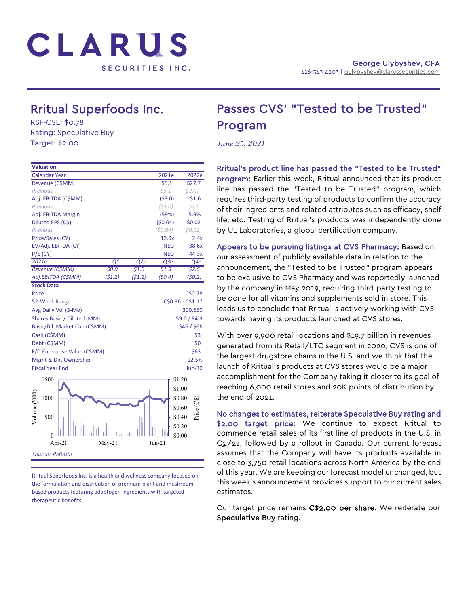

# Rritual Superfoods Inc.<br>RSF-CSE: \$0.78

Rating: Speculative Buy Target: \$2.00

| <b>Valuation</b>              |             |        |            |                   |  |
|-------------------------------|-------------|--------|------------|-------------------|--|
| <b>Calendar Year</b>          |             |        | 2021e      | 2022e             |  |
| Revenue (C\$MM)               |             |        | 55.1       | \$27.7            |  |
| <b>Previous</b>               |             |        | \$5.1      | \$27.7            |  |
| Adj. EBITDA (C\$MM)           |             |        | (53.0)     | \$1.6             |  |
| <b>Previous</b>               |             |        | (53.0)     | \$1.6             |  |
| Adj. EBITDA Margin            |             |        | (59%)      | 5.9%              |  |
| Diluted EPS (C\$)             |             |        | (50.04)    | \$0.02            |  |
| <b>Previous</b>               |             |        | (50.04)    | \$0.02\$          |  |
| Price/Sales (CY)              |             |        | 12.9x      | 2.4x              |  |
| EV/Adj. EBITDA (CY)           |             |        | <b>NEG</b> | 38.6x             |  |
| $P/E$ (CY)                    |             |        | <b>NEG</b> | 44.3x             |  |
| 2021e                         | Q1          | Q2e    | Q3e        | Q4e               |  |
| Revenue (C\$MM)               | 50.0        | \$1.0  | \$1.5      | \$2.6\$           |  |
| Adj.EBITDA (C\$MM)            | (51.2)      | (51.2) | (50.4)     | (50.2)            |  |
| <b>Stock Data</b>             |             |        |            |                   |  |
| Price                         |             |        |            | C\$0.78           |  |
| 52-Week Range                 |             |        |            | C\$0.36 - C\$1.17 |  |
| Avg Daily Vol (3-Mo)          |             |        |            | 300,650           |  |
| Shares Basic / Diluted (MM)   |             |        |            | 59.0 / 84.3       |  |
| Basic/Dil. Market Cap (C\$MM) | \$46 / \$66 |        |            |                   |  |
| Cash (C\$MM)                  |             |        |            | \$3               |  |
| Debt (C\$MM)                  |             |        |            | \$0               |  |
| F/D Enterprise Value (C\$MM)  |             |        |            | \$63              |  |
| Mgmt & Dir. Ownership         |             |        |            | 12.5%             |  |
| <b>Fiscal Year End</b>        |             |        |            | <b>Jun-30</b>     |  |
|                               |             |        |            |                   |  |
| 1500                          |             |        |            | \$1.20            |  |
|                               |             |        |            | \$1.00            |  |
| 1000                          |             |        |            | \$0.80            |  |
|                               |             |        |            | \$0.60            |  |
| Volume ('000                  |             |        |            | Price (CS         |  |
| 500                           |             |        |            | \$0.40            |  |
|                               |             |        |            | \$0.20            |  |
| $\Omega$                      |             |        |            | \$0.00            |  |
| Apr-21                        | $May-21$    |        | $Jun-21$   |                   |  |
| Source: Refinitiv             |             |        |            |                   |  |
|                               |             |        |            |                   |  |

Rritual Superfoods Inc. is a health and wellness company focused on the formulation and distribution of premium plant and mushroombased products featuring adaptogen ingredients with targeted therapeutic benefits.

## Passes CVS' "Tested to be Trusted" Program

*June 25, 2021*

Rritual's product line has passed the "Tested to be Trusted" program: Earlier this week, Rritual announced that its product line has passed the "Tested to be Trusted" program, which requires third-party testing of products to confirm the accuracy of their ingredients and related attributes such as efficacy, shelf life, etc. Testing of Rritual's products was independently done by UL Laboratories, a global certification company.

Appears to be pursuing listings at CVS Pharmacy: Based on our assessment of publicly available data in relation to the announcement, the "Tested to be Trusted" program appears to be exclusive to CVS Pharmacy and was reportedly launched by the company in May 2019, requiring third-party testing to be done for all vitamins and supplements sold in store. This leads us to conclude that Rritual is actively working with CVS towards having its products launched at CVS stores.

With over 9,900 retail locations and \$19.7 billion in revenues generated from its Retail/LTC segment in 2020, CVS is one of the largest drugstore chains in the U.S. and we think that the launch of Rritual's products at CVS stores would be a major accomplishment for the Company taking it closer to its goal of reaching 6,000 retail stores and 20K points of distribution by the end of 2021.

No changes to estimates, reiterate Speculative Buy rating and \$2.00 target price: We continue to expect Rritual to commence retail sales of its first line of products in the U.S. in Q2/21, followed by a rollout in Canada. Our current forecast assumes that the Company will have its products available in close to 3,750 retail locations across North America by the end of this year. We are keeping our forecast model unchanged, but this week's announcement provides support to our current sales estimates.

Our target price remains C\$2.00 per share. We reiterate our Speculative Buy rating.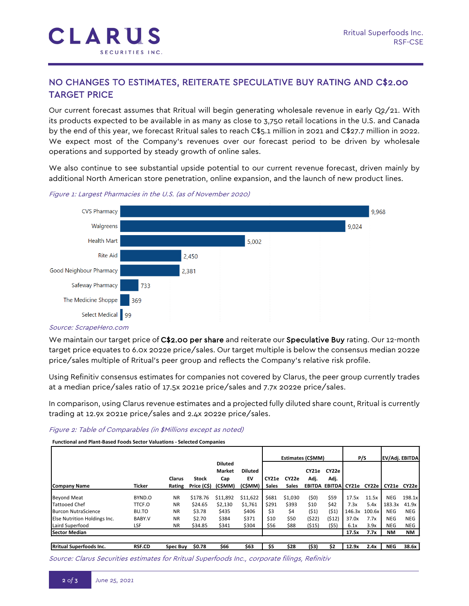

### NO CHANGES TO ESTIMATES, REITERATE SPECULATIVE BUY RATING AND C\$2.00 TARGET PRICE

Our current forecast assumes that Rritual will begin generating wholesale revenue in early Q2/21. With its products expected to be available in as many as close to 3,750 retail locations in the U.S. and Canada by the end of this year, we forecast Rritual sales to reach C\$5.1 million in 2021 and C\$27.7 million in 2022. We expect most of the Company's revenues over our forecast period to be driven by wholesale operations and supported by steady growth of online sales.

We also continue to see substantial upside potential to our current revenue forecast, driven mainly by additional North American store penetration, online expansion, and the launch of new product lines.



Figure 1: Largest Pharmacies in the U.S. (as of November 2020)

#### Source: ScrapeHero.com

We maintain our target price of C\$2.00 per share and reiterate our Speculative Buy rating. Our 12-month target price equates to 6.0x 2022e price/sales. Our target multiple is below the consensus median 2022e price/sales multiple of Rritual's peer group and reflects the Company's relative risk profile.

Using Refinitiv consensus estimates for companies not covered by Clarus, the peer group currently trades at a median price/sales ratio of 17.5x 2021e price/sales and 7.7x 2022e price/sales.

In comparison, using Clarus revenue estimates and a projected fully diluted share count, Rritual is currently trading at 12.9x 2021e price/sales and 2.4x 2022e price/sales.

#### Figure 2: Table of Comparables (in \$Millions except as noted)

**Functional and Plant-Based Foods Sector Valuations - Selected Companies**

|                                |               |                  |                             |                                 |                | Estimates (C\$MM)     |                       |       | P/S                         |        |        |                   |            |
|--------------------------------|---------------|------------------|-----------------------------|---------------------------------|----------------|-----------------------|-----------------------|-------|-----------------------------|--------|--------|-------------------|------------|
|                                |               |                  |                             | <b>Diluted</b><br><b>Market</b> | <b>Diluted</b> |                       |                       | CY21e | CY22e                       |        |        | EV/Adj. EBITDA    |            |
| Company Name                   | <b>Ticker</b> | Clarus<br>Rating | <b>Stock</b><br>Price (C\$) | Cap<br>(C\$MM)                  | EV<br>(CŚMM)   | CY21e<br><b>Sales</b> | CY22e<br><b>Sales</b> | Adj.  | Adj.<br>EBITDA EBITDA CY21e |        |        | CY22elCY21e CY22e |            |
|                                |               |                  |                             |                                 |                |                       |                       |       |                             |        |        |                   |            |
| <b>Beyond Meat</b>             | BYND.O        | <b>NR</b>        | \$178.76                    | \$11,892                        | \$11,622       | \$681                 | \$1,030               | (50)  | \$59                        | 17.5x  | 11.5x  | <b>NEG</b>        | 198.1x     |
| <b>Tattooed Chef</b>           | TTCF.O        | <b>NR</b>        | \$24.65                     | \$2,130                         | \$1.761        | \$291                 | \$393                 | \$10  | \$42                        | 7.3x   | 5.4x   | 183.3x            | 41.9x      |
| <b>Burcon NutraScience</b>     | BU.TO         | <b>NR</b>        | \$3.78                      | \$435                           | \$406          | \$3                   | \$4                   | (51)  | (51)                        | 146.3x | 100.6x | <b>NEG</b>        | <b>NEG</b> |
| Else Nutrition Holdings Inc.   | BABY.V        | <b>NR</b>        | \$2.70                      | \$384                           | \$371          | \$10                  | \$50                  | (522) | (512)                       | 37.0x  | 7.7x   | <b>NEG</b>        | <b>NEG</b> |
| Laird Superfood                | LSF           | <b>NR</b>        | \$34.85                     | \$341                           | \$304          | \$56                  | \$88                  | (515) | (55)                        | 6.1x   | 3.9x   | <b>NEG</b>        | NEG        |
| <b>Sector Median</b>           |               |                  |                             |                                 |                |                       |                       |       |                             | 17.5x  | 7.7x   | <b>NM</b>         | NΜ         |
|                                |               |                  |                             |                                 |                |                       |                       |       |                             |        |        |                   |            |
| <b>Rritual Superfoods Inc.</b> | <b>RSF.CD</b> | <b>Spec Buy</b>  | \$0.78                      | \$66                            | \$63           | \$5                   | \$28                  | (\$3) | \$2                         | 12.9x  | 2.4x   | <b>NEG</b>        | 38.6x      |

Source: Clarus Securities estimates for Rritual Superfoods Inc., corporate filings, Refinitiv